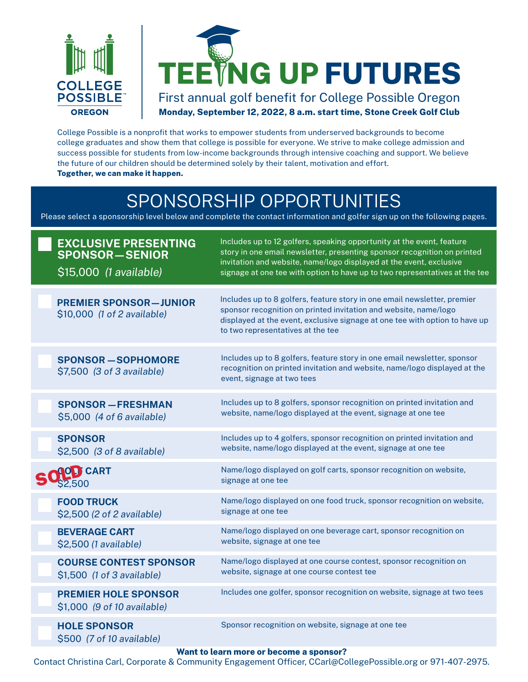



### First annual golf benefit for College Possible Oregon **Monday, September 12, 2022, 8 a.m. start time, Stone Creek Golf Club**

College Possible is a nonprofit that works to empower students from underserved backgrounds to become college graduates and show them that college is possible for everyone. We strive to make college admission and success possible for students from low-income backgrounds through intensive coaching and support. We believe the future of our children should be determined solely by their talent, motivation and effort. **Together, we can make it happen.**

### SPONSORSHIP OPPORTUNITIES

Please select a sponsorship level below and complete the contact information and golfer sign up on the following pages.

| <b>EXCLUSIVE PRESENTING</b><br><b>SPONSOR-SENIOR</b><br>\$15,000 (1 available) | Includes up to 12 golfers, speaking opportunity at the event, feature<br>story in one email newsletter, presenting sponsor recognition on printed<br>invitation and website, name/logo displayed at the event, exclusive<br>signage at one tee with option to have up to two representatives at the tee |
|--------------------------------------------------------------------------------|---------------------------------------------------------------------------------------------------------------------------------------------------------------------------------------------------------------------------------------------------------------------------------------------------------|
| <b>PREMIER SPONSOR-JUNIOR</b><br>\$10,000 (1 of 2 available)                   | Includes up to 8 golfers, feature story in one email newsletter, premier<br>sponsor recognition on printed invitation and website, name/logo<br>displayed at the event, exclusive signage at one tee with option to have up<br>to two representatives at the tee                                        |
| <b>SPONSOR-SOPHOMORE</b><br>\$7,500 (3 of 3 available)                         | Includes up to 8 golfers, feature story in one email newsletter, sponsor<br>recognition on printed invitation and website, name/logo displayed at the<br>event, signage at two tees                                                                                                                     |
| <b>SPONSOR - FRESHMAN</b>                                                      | Includes up to 8 golfers, sponsor recognition on printed invitation and                                                                                                                                                                                                                                 |
| \$5,000 (4 of 6 available)                                                     | website, name/logo displayed at the event, signage at one tee                                                                                                                                                                                                                                           |
| <b>SPONSOR</b>                                                                 | Includes up to 4 golfers, sponsor recognition on printed invitation and                                                                                                                                                                                                                                 |
| \$2,500 (3 of 8 available)                                                     | website, name/logo displayed at the event, signage at one tee                                                                                                                                                                                                                                           |
| O <sub>.</sub> J CART                                                          | Name/logo displayed on golf carts, sponsor recognition on website,                                                                                                                                                                                                                                      |
| 32,500                                                                         | signage at one tee                                                                                                                                                                                                                                                                                      |
| <b>FOOD TRUCK</b>                                                              | Name/logo displayed on one food truck, sponsor recognition on website,                                                                                                                                                                                                                                  |
| \$2,500 (2 of 2 available)                                                     | signage at one tee                                                                                                                                                                                                                                                                                      |
| <b>BEVERAGE CART</b>                                                           | Name/logo displayed on one beverage cart, sponsor recognition on                                                                                                                                                                                                                                        |
| \$2,500 (1 available)                                                          | website, signage at one tee                                                                                                                                                                                                                                                                             |
| <b>COURSE CONTEST SPONSOR</b>                                                  | Name/logo displayed at one course contest, sponsor recognition on                                                                                                                                                                                                                                       |
| \$1,500 (1 of 3 available)                                                     | website, signage at one course contest tee                                                                                                                                                                                                                                                              |
| <b>PREMIER HOLE SPONSOR</b><br>\$1,000 (9 of 10 available)                     | Includes one golfer, sponsor recognition on website, signage at two tees                                                                                                                                                                                                                                |
| <b>HOLE SPONSOR</b><br>\$500 (7 of 10 available)                               | Sponsor recognition on website, signage at one tee                                                                                                                                                                                                                                                      |

#### **Want to learn more or become a sponsor?**

Contact Christina Carl, Corporate & Community Engagement Officer, CCarl@CollegePossible.org or 971-407-2975.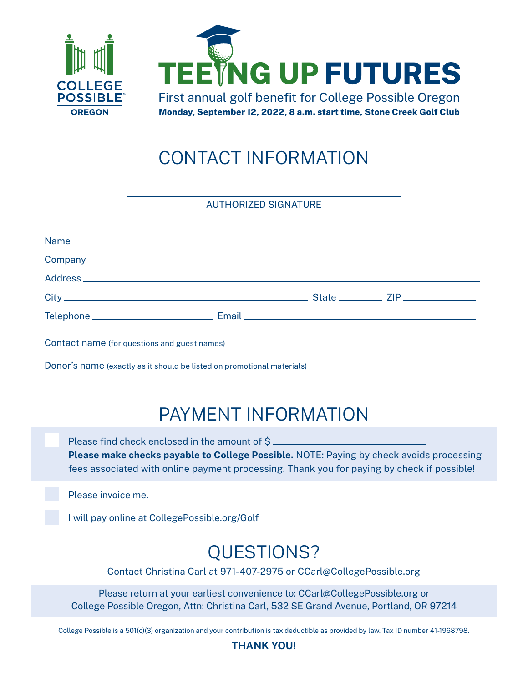



# CONTACT INFORMATION

AUTHORIZED SIGNATURE

| Donor's name (exactly as it should be listed on promotional materials) |  |  |  |  |
|------------------------------------------------------------------------|--|--|--|--|

### PAYMENT INFORMATION

 Please find check enclosed in the amount of \$ **Please make checks payable to College Possible.** NOTE: Paying by check avoids processing fees associated with online payment processing. Thank you for paying by check if possible!

Please invoice me.

I will pay online at [CollegePossible.org/Golf](https://secure2.convio.net/cp1/site/Donation2;jsessionid=00000000.app20113a?df_id=3246&3246.donation=form1&mfc_pref=T&NONCE_TOKEN=9045737BEEB4ED4480AE25AE6E538828)

### QUESTIONS?

Contact Christina Carl at 971-407-2975 or CCarl@CollegePossible.org

Please return at your earliest convenience to: CCarl[@CollegePossible.org](mailto:JWetmore%40CollegePossible.org?subject=Results%20by%20Degrees%20Sponsorship) or College Possible Oregon, Attn: Christina Carl, 532 SE Grand Avenue, Portland, OR 97214

College Possible is a 501(c)(3) organization and your contribution is tax deductible as provided by law. Tax ID number 41-1968798.

#### **THANK YOU!**